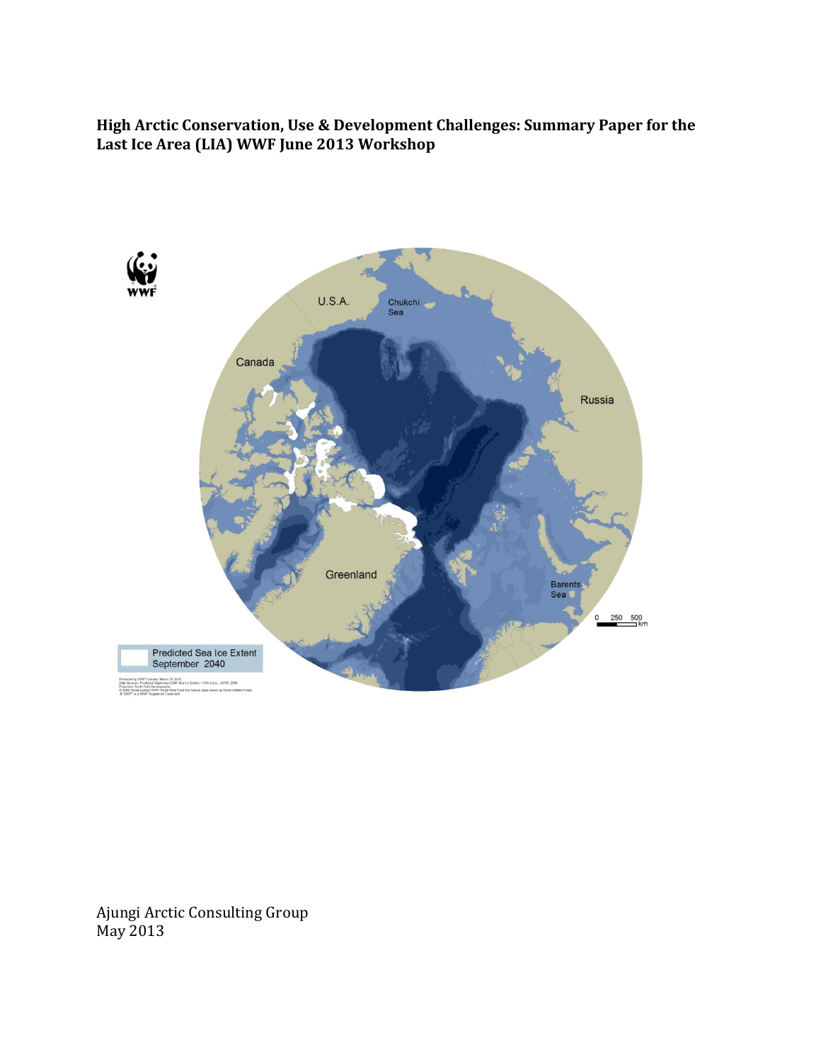**High Arctic Conservation, Use & Development Challenges: Summary Paper for the Last Ice Area (LIA) WWF June 2013 Workshop** 



Ajungi Arctic Consulting Group May 2013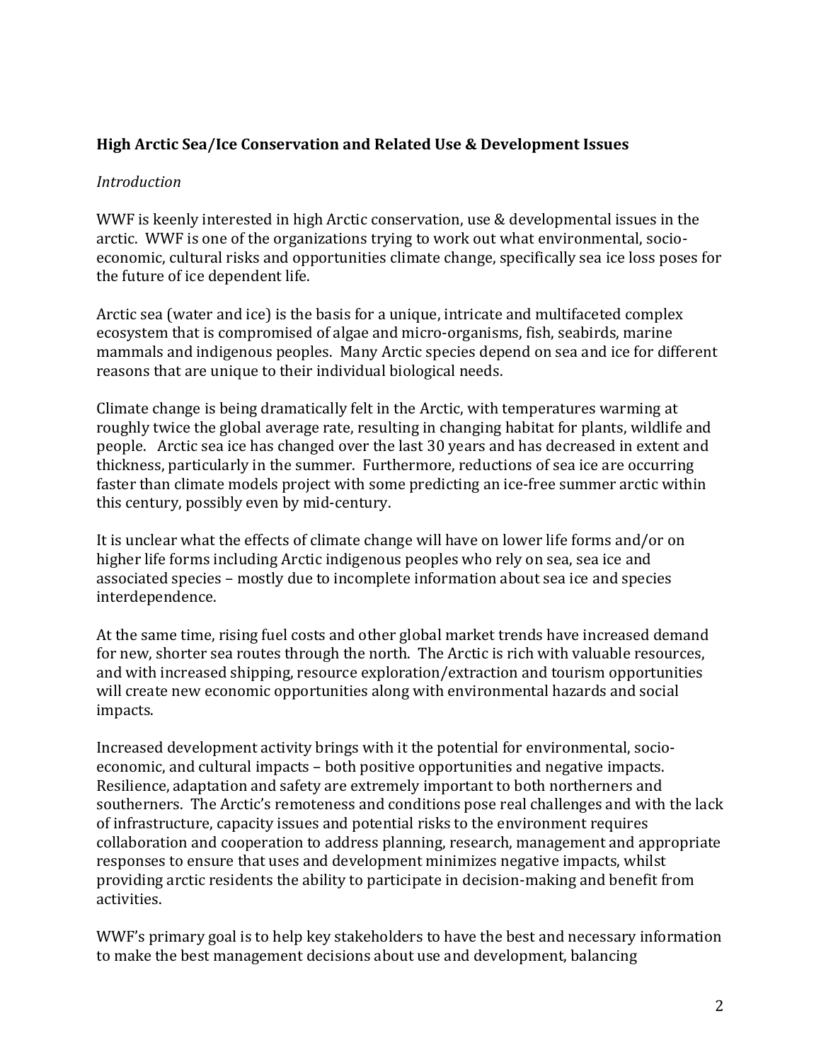## **High Arctic Sea/Ice Conservation and Related Use & Development Issues**

#### *Introduction*

WWF is keenly interested in high Arctic conservation, use & developmental issues in the arctic. WWF is one of the organizations trying to work out what environmental, socioeconomic, cultural risks and opportunities climate change, specifically sea ice loss poses for the future of ice dependent life.

Arctic sea (water and ice) is the basis for a unique, intricate and multifaceted complex ecosystem that is compromised of algae and micro-organisms, fish, seabirds, marine mammals and indigenous peoples. Many Arctic species depend on sea and ice for different reasons that are unique to their individual biological needs.

Climate change is being dramatically felt in the Arctic, with temperatures warming at roughly twice the global average rate, resulting in changing habitat for plants, wildlife and people. Arctic sea ice has changed over the last 30 years and has decreased in extent and thickness, particularly in the summer. Furthermore, reductions of sea ice are occurring faster than climate models project with some predicting an ice-free summer arctic within this century, possibly even by mid-century.

It is unclear what the effects of climate change will have on lower life forms and/or on higher life forms including Arctic indigenous peoples who rely on sea, sea ice and associated species – mostly due to incomplete information about sea ice and species interdependence.

At the same time, rising fuel costs and other global market trends have increased demand for new, shorter sea routes through the north. The Arctic is rich with valuable resources, and with increased shipping, resource exploration/extraction and tourism opportunities will create new economic opportunities along with environmental hazards and social impacts.

Increased development activity brings with it the potential for environmental, socioeconomic, and cultural impacts – both positive opportunities and negative impacts. Resilience, adaptation and safety are extremely important to both northerners and southerners. The Arctic's remoteness and conditions pose real challenges and with the lack of infrastructure, capacity issues and potential risks to the environment requires collaboration and cooperation to address planning, research, management and appropriate responses to ensure that uses and development minimizes negative impacts, whilst providing arctic residents the ability to participate in decision-making and benefit from activities.

WWF's primary goal is to help key stakeholders to have the best and necessary information to make the best management decisions about use and development, balancing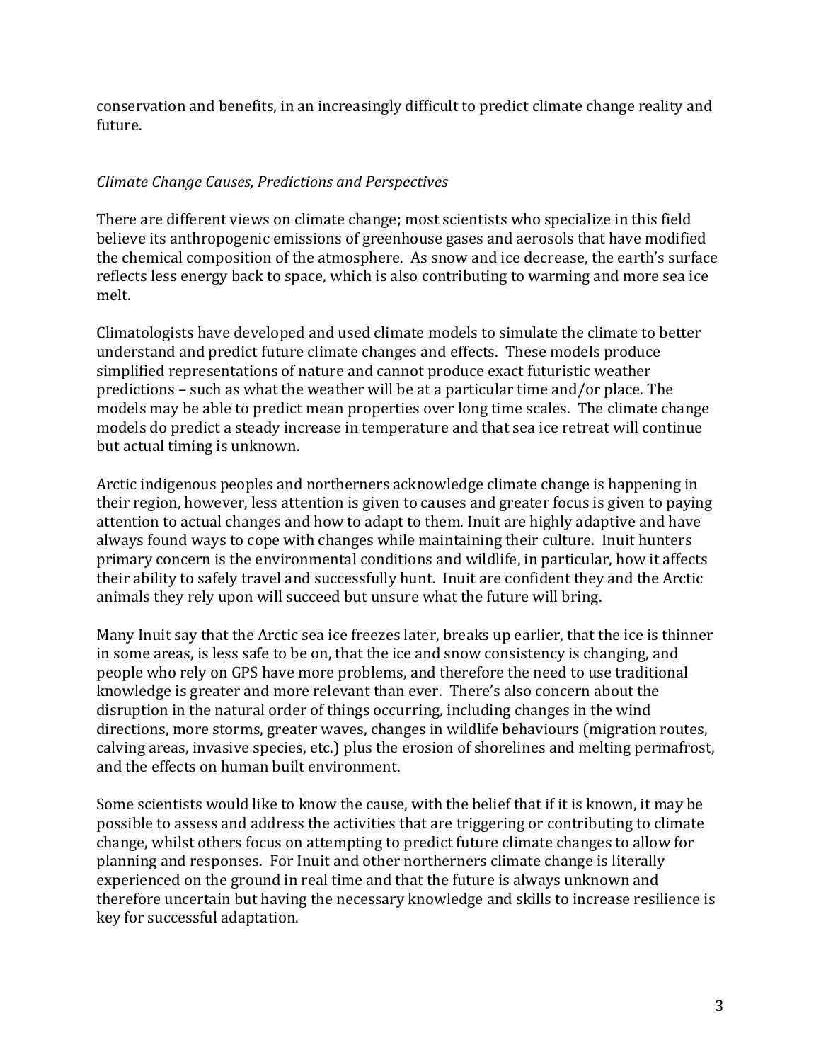conservation and benefits, in an increasingly difficult to predict climate change reality and future.

# *Climate Change Causes, Predictions and Perspectives*

There are different views on climate change; most scientists who specialize in this field believe its anthropogenic emissions of greenhouse gases and aerosols that have modified the chemical composition of the atmosphere. As snow and ice decrease, the earth's surface reflects less energy back to space, which is also contributing to warming and more sea ice melt.

Climatologists have developed and used climate models to simulate the climate to better understand and predict future climate changes and effects. These models produce simplified representations of nature and cannot produce exact futuristic weather predictions – such as what the weather will be at a particular time and/or place. The models may be able to predict mean properties over long time scales. The climate change models do predict a steady increase in temperature and that sea ice retreat will continue but actual timing is unknown.

Arctic indigenous peoples and northerners acknowledge climate change is happening in their region, however, less attention is given to causes and greater focus is given to paying attention to actual changes and how to adapt to them. Inuit are highly adaptive and have always found ways to cope with changes while maintaining their culture. Inuit hunters primary concern is the environmental conditions and wildlife, in particular, how it affects their ability to safely travel and successfully hunt. Inuit are confident they and the Arctic animals they rely upon will succeed but unsure what the future will bring.

Many Inuit say that the Arctic sea ice freezes later, breaks up earlier, that the ice is thinner in some areas, is less safe to be on, that the ice and snow consistency is changing, and people who rely on GPS have more problems, and therefore the need to use traditional knowledge is greater and more relevant than ever. There's also concern about the disruption in the natural order of things occurring, including changes in the wind directions, more storms, greater waves, changes in wildlife behaviours (migration routes, calving areas, invasive species, etc.) plus the erosion of shorelines and melting permafrost, and the effects on human built environment.

Some scientists would like to know the cause, with the belief that if it is known, it may be possible to assess and address the activities that are triggering or contributing to climate change, whilst others focus on attempting to predict future climate changes to allow for planning and responses. For Inuit and other northerners climate change is literally experienced on the ground in real time and that the future is always unknown and therefore uncertain but having the necessary knowledge and skills to increase resilience is key for successful adaptation.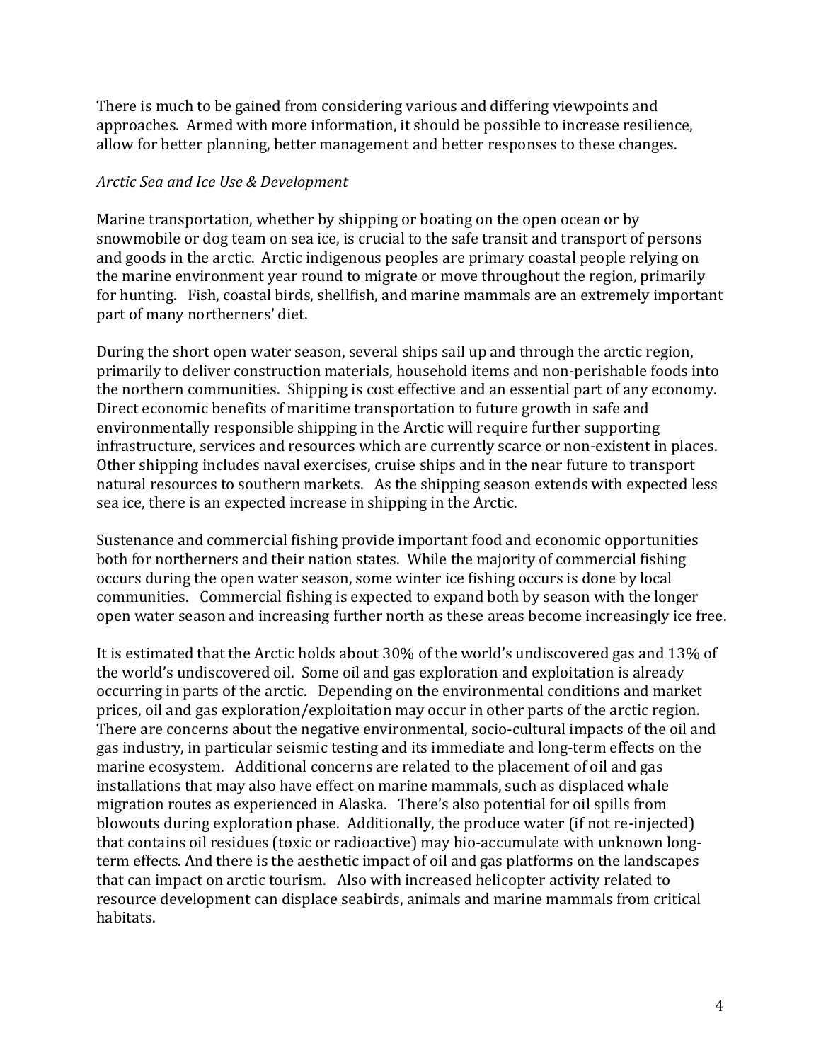There is much to be gained from considering various and differing viewpoints and approaches. Armed with more information, it should be possible to increase resilience, allow for better planning, better management and better responses to these changes.

#### *Arctic Sea and Ice Use & Development*

Marine transportation, whether by shipping or boating on the open ocean or by snowmobile or dog team on sea ice, is crucial to the safe transit and transport of persons and goods in the arctic. Arctic indigenous peoples are primary coastal people relying on the marine environment year round to migrate or move throughout the region, primarily for hunting. Fish, coastal birds, shellfish, and marine mammals are an extremely important part of many northerners' diet.

During the short open water season, several ships sail up and through the arctic region, primarily to deliver construction materials, household items and non-perishable foods into the northern communities. Shipping is cost effective and an essential part of any economy. Direct economic benefits of maritime transportation to future growth in safe and environmentally responsible shipping in the Arctic will require further supporting infrastructure, services and resources which are currently scarce or non-existent in places. Other shipping includes naval exercises, cruise ships and in the near future to transport natural resources to southern markets. As the shipping season extends with expected less sea ice, there is an expected increase in shipping in the Arctic.

Sustenance and commercial fishing provide important food and economic opportunities both for northerners and their nation states. While the majority of commercial fishing occurs during the open water season, some winter ice fishing occurs is done by local communities. Commercial fishing is expected to expand both by season with the longer open water season and increasing further north as these areas become increasingly ice free.

It is estimated that the Arctic holds about 30% of the world's undiscovered gas and 13% of the world's undiscovered oil. Some oil and gas exploration and exploitation is already occurring in parts of the arctic. Depending on the environmental conditions and market prices, oil and gas exploration/exploitation may occur in other parts of the arctic region. There are concerns about the negative environmental, socio-cultural impacts of the oil and gas industry, in particular seismic testing and its immediate and long-term effects on the marine ecosystem. Additional concerns are related to the placement of oil and gas installations that may also have effect on marine mammals, such as displaced whale migration routes as experienced in Alaska. There's also potential for oil spills from blowouts during exploration phase. Additionally, the produce water (if not re-injected) that contains oil residues (toxic or radioactive) may bio-accumulate with unknown longterm effects. And there is the aesthetic impact of oil and gas platforms on the landscapes that can impact on arctic tourism. Also with increased helicopter activity related to resource development can displace seabirds, animals and marine mammals from critical habitats.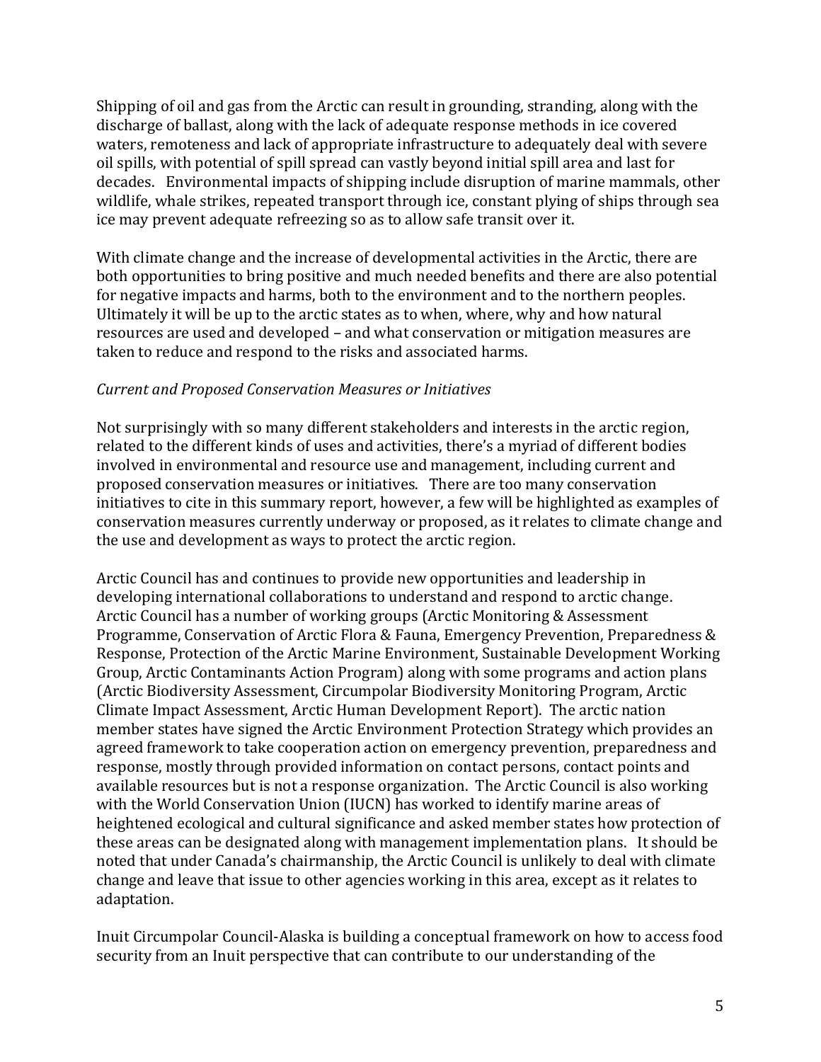Shipping of oil and gas from the Arctic can result in grounding, stranding, along with the discharge of ballast, along with the lack of adequate response methods in ice covered waters, remoteness and lack of appropriate infrastructure to adequately deal with severe oil spills, with potential of spill spread can vastly beyond initial spill area and last for decades. Environmental impacts of shipping include disruption of marine mammals, other wildlife, whale strikes, repeated transport through ice, constant plying of ships through sea ice may prevent adequate refreezing so as to allow safe transit over it.

With climate change and the increase of developmental activities in the Arctic, there are both opportunities to bring positive and much needed benefits and there are also potential for negative impacts and harms, both to the environment and to the northern peoples. Ultimately it will be up to the arctic states as to when, where, why and how natural resources are used and developed – and what conservation or mitigation measures are taken to reduce and respond to the risks and associated harms.

#### *Current and Proposed Conservation Measures or Initiatives*

Not surprisingly with so many different stakeholders and interests in the arctic region, related to the different kinds of uses and activities, there's a myriad of different bodies involved in environmental and resource use and management, including current and proposed conservation measures or initiatives. There are too many conservation initiatives to cite in this summary report, however, a few will be highlighted as examples of conservation measures currently underway or proposed, as it relates to climate change and the use and development as ways to protect the arctic region.

Arctic Council has and continues to provide new opportunities and leadership in developing international collaborations to understand and respond to arctic change. Arctic Council has a number of working groups (Arctic Monitoring & Assessment Programme, Conservation of Arctic Flora & Fauna, Emergency Prevention, Preparedness & Response, Protection of the Arctic Marine Environment, Sustainable Development Working Group, Arctic Contaminants Action Program) along with some programs and action plans (Arctic Biodiversity Assessment, Circumpolar Biodiversity Monitoring Program, Arctic Climate Impact Assessment, Arctic Human Development Report). The arctic nation member states have signed the Arctic Environment Protection Strategy which provides an agreed framework to take cooperation action on emergency prevention, preparedness and response, mostly through provided information on contact persons, contact points and available resources but is not a response organization. The Arctic Council is also working with the World Conservation Union (IUCN) has worked to identify marine areas of heightened ecological and cultural significance and asked member states how protection of these areas can be designated along with management implementation plans. It should be noted that under Canada's chairmanship, the Arctic Council is unlikely to deal with climate change and leave that issue to other agencies working in this area, except as it relates to adaptation.

Inuit Circumpolar Council-Alaska is building a conceptual framework on how to access food security from an Inuit perspective that can contribute to our understanding of the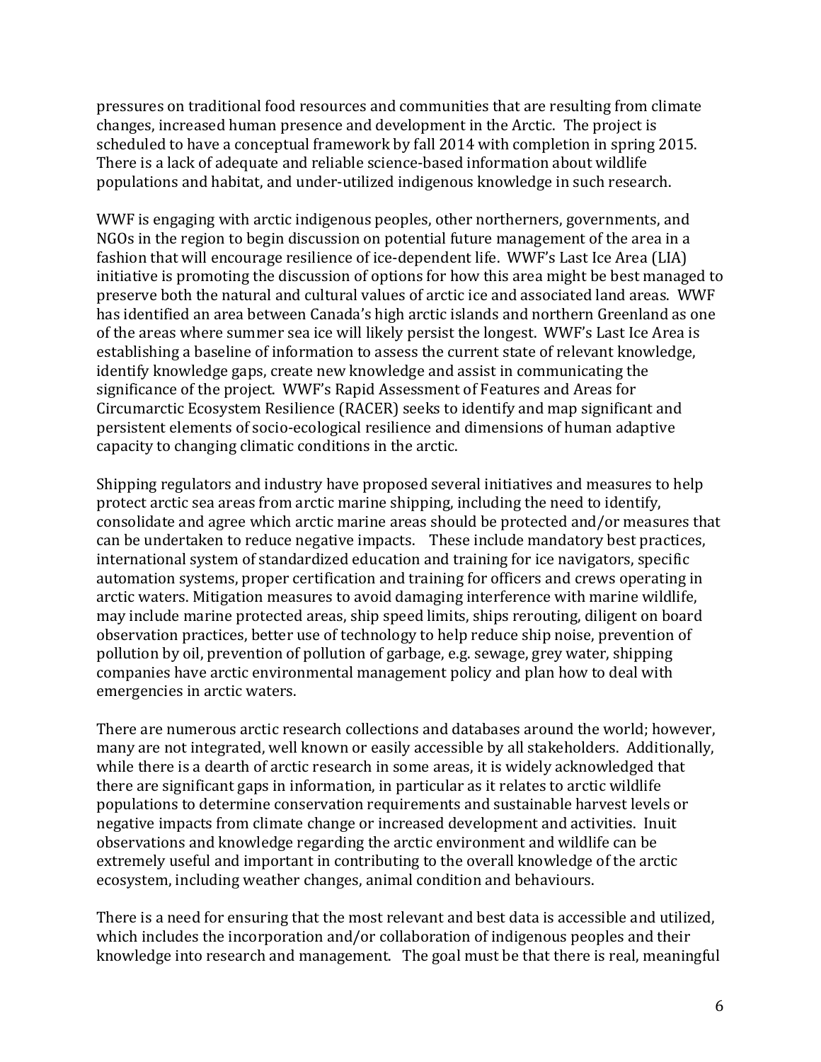pressures on traditional food resources and communities that are resulting from climate changes, increased human presence and development in the Arctic. The project is scheduled to have a conceptual framework by fall 2014 with completion in spring 2015. There is a lack of adequate and reliable science-based information about wildlife populations and habitat, and under-utilized indigenous knowledge in such research.

WWF is engaging with arctic indigenous peoples, other northerners, governments, and NGOs in the region to begin discussion on potential future management of the area in a fashion that will encourage resilience of ice-dependent life. WWF's Last Ice Area (LIA) initiative is promoting the discussion of options for how this area might be best managed to preserve both the natural and cultural values of arctic ice and associated land areas. WWF has identified an area between Canada's high arctic islands and northern Greenland as one of the areas where summer sea ice will likely persist the longest. WWF's Last Ice Area is establishing a baseline of information to assess the current state of relevant knowledge, identify knowledge gaps, create new knowledge and assist in communicating the significance of the project. WWF's Rapid Assessment of Features and Areas for Circumarctic Ecosystem Resilience (RACER) seeks to identify and map significant and persistent elements of socio-ecological resilience and dimensions of human adaptive capacity to changing climatic conditions in the arctic.

Shipping regulators and industry have proposed several initiatives and measures to help protect arctic sea areas from arctic marine shipping, including the need to identify, consolidate and agree which arctic marine areas should be protected and/or measures that can be undertaken to reduce negative impacts. These include mandatory best practices, international system of standardized education and training for ice navigators, specific automation systems, proper certification and training for officers and crews operating in arctic waters. Mitigation measures to avoid damaging interference with marine wildlife, may include marine protected areas, ship speed limits, ships rerouting, diligent on board observation practices, better use of technology to help reduce ship noise, prevention of pollution by oil, prevention of pollution of garbage, e.g. sewage, grey water, shipping companies have arctic environmental management policy and plan how to deal with emergencies in arctic waters.

There are numerous arctic research collections and databases around the world; however, many are not integrated, well known or easily accessible by all stakeholders. Additionally, while there is a dearth of arctic research in some areas, it is widely acknowledged that there are significant gaps in information, in particular as it relates to arctic wildlife populations to determine conservation requirements and sustainable harvest levels or negative impacts from climate change or increased development and activities. Inuit observations and knowledge regarding the arctic environment and wildlife can be extremely useful and important in contributing to the overall knowledge of the arctic ecosystem, including weather changes, animal condition and behaviours.

There is a need for ensuring that the most relevant and best data is accessible and utilized, which includes the incorporation and/or collaboration of indigenous peoples and their knowledge into research and management. The goal must be that there is real, meaningful